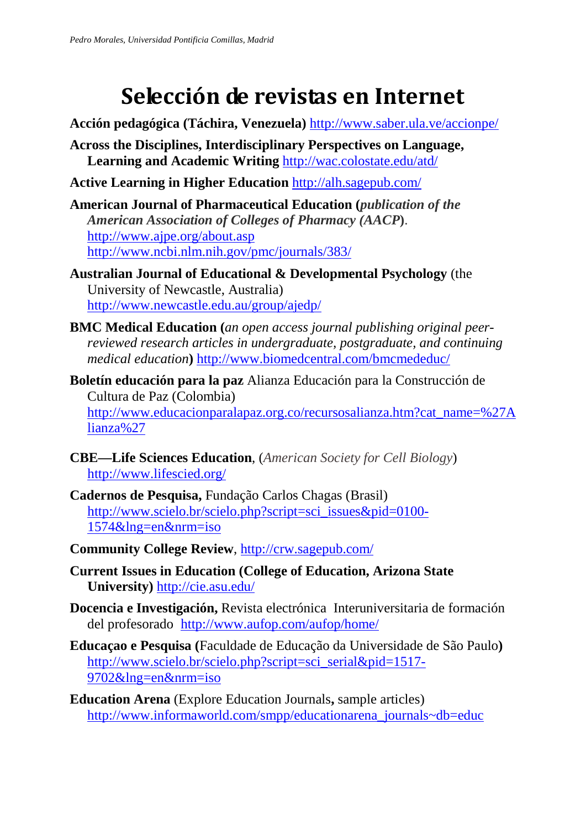## **Selección de revistas en Internet**

**Acción pedagógica (Táchira, Venezuela)** <http://www.saber.ula.ve/accionpe/>

**Across the Disciplines, Interdisciplinary Perspectives on Language, Learning and Academic Writing** <http://wac.colostate.edu/atd/>

**Active Learning in Higher Education** <http://alh.sagepub.com/>

**American Journal of Pharmaceutical Education (***publication of the American Association of Colleges of Pharmacy (AACP***)**. <http://www.ajpe.org/about.asp> <http://www.ncbi.nlm.nih.gov/pmc/journals/383/>

**Australian Journal of Educational & Developmental Psychology** (the University of Newcastle, Australia) <http://www.newcastle.edu.au/group/ajedp/>

- **BMC Medical Education (***an open access journal publishing original peerreviewed research articles in undergraduate, postgraduate, and continuing medical education***)** <http://www.biomedcentral.com/bmcmededuc/>
- **Boletín educación para la paz** Alianza Educación para la Construcción de Cultura de Paz (Colombia) [http://www.educacionparalapaz.org.co/recursosalianza.htm?cat\\_name=%27A](http://www.educacionparalapaz.org.co/recursosalianza.htm?cat_name=%27Alianza%27) [lianza%27](http://www.educacionparalapaz.org.co/recursosalianza.htm?cat_name=%27Alianza%27)
- **CBE—Life Sciences Education**, (*American Society for Cell Biology*) <http://www.lifescied.org/>
- **Cadernos de Pesquisa,** Fundação Carlos Chagas (Brasil) [http://www.scielo.br/scielo.php?script=sci\\_issues&pid=0100-](http://www.scielo.br/scielo.php?script=sci_issues&pid=0100-1574&lng=en&nrm=iso) [1574&lng=en&nrm=iso](http://www.scielo.br/scielo.php?script=sci_issues&pid=0100-1574&lng=en&nrm=iso)
- **Community College Review**,<http://crw.sagepub.com/>
- **Current Issues in Education (College of Education, Arizona State University)** <http://cie.asu.edu/>
- **Docencia e Investigación,** Revista electrónica Interuniversitaria de formación del profesorado <http://www.aufop.com/aufop/home/>
- **Educaçao e Pesquisa (**Faculdade de Educação da Universidade de São Paulo**)**  [http://www.scielo.br/scielo.php?script=sci\\_serial&pid=1517-](http://www.scielo.br/scielo.php?script=sci_serial&pid=1517-9702&lng=en&nrm=iso) [9702&lng=en&nrm=iso](http://www.scielo.br/scielo.php?script=sci_serial&pid=1517-9702&lng=en&nrm=iso)
- **Education Arena** (Explore Education Journals**,** sample articles) [http://www.informaworld.com/smpp/educationarena\\_journals~db=educ](http://www.informaworld.com/smpp/educationarena_journals%7Edb=educ)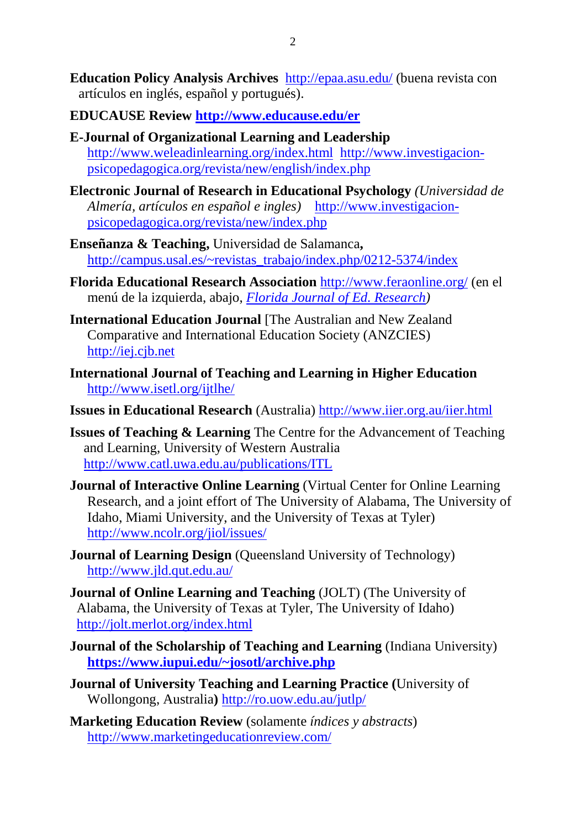**Education Policy Analysis Archives** <http://epaa.asu.edu/> (buena revista con artículos en inglés, español y portugués).

## **EDUCAUSE Review<http://www.educause.edu/er>**

- **E-Journal of Organizational Learning and Leadership**  <http://www.weleadinlearning.org/index.html>[http://www.investigacion](http://www.investigacion-psicopedagogica.org/revista/new/english/index.php)[psicopedagogica.org/revista/new/english/index.php](http://www.investigacion-psicopedagogica.org/revista/new/english/index.php)
- **Electronic Journal of Research in Educational Psychology** *(Universidad de Almería, artículos en español e ingles)* [http://www.investigacion](http://www.investigacion-psicopedagogica.org/revista/new/index.php)[psicopedagogica.org/revista/new/index.php](http://www.investigacion-psicopedagogica.org/revista/new/index.php)
- **Enseñanza & Teaching,** Universidad de Salamanca**,**  [http://campus.usal.es/~revistas\\_trabajo/index.php/0212-5374/index](http://campus.usal.es/%7Erevistas_trabajo/index.php/0212-5374/index)
- **Florida Educational Research Association** <http://www.feraonline.org/> (en el menú de la izquierda, abajo, *[Florida Journal of Ed. Research\)](http://www.coedu.usf.edu/fjer/1996/1996_Franklin.htm)*
- **International Education Journal** [The Australian and New Zealand Comparative and International Education Society (ANZCIES) [http://iej.cjb.net](http://iej.cjb.net/)
- **International Journal of Teaching and Learning in Higher Education**  <http://www.isetl.org/ijtlhe/>
- **Issues in Educational Research** (Australia) <http://www.iier.org.au/iier.html>
- **Issues of Teaching & Learning** The Centre for the Advancement of Teaching and Learning, University of Western Australia <http://www.catl.uwa.edu.au/publications/ITL>
- **Journal of Interactive Online Learning** (Virtual Center for Online Learning Research, and a joint effort of The University of Alabama, The University of Idaho, Miami University, and the University of Texas at Tyler) <http://www.ncolr.org/jiol/issues/>
- **Journal of Learning Design (Queensland University of Technology)** <http://www.jld.qut.edu.au/>
- **Journal of Online Learning and Teaching** (JOLT) (The University of Alabama, the University of Texas at Tyler, The University of Idaho) <http://jolt.merlot.org/index.html>
- **Journal of the Scholarship of Teaching and Learning (Indiana University) [https://www.iupui.edu/~josotl/archive.php](https://www.iupui.edu/%7Ejosotl/archive.php)**
- **Journal of University Teaching and Learning Practice (**University of Wollongong, Australia**)** <http://ro.uow.edu.au/jutlp/>
- **Marketing Education Review** (solamente *índices y abstracts*) <http://www.marketingeducationreview.com/>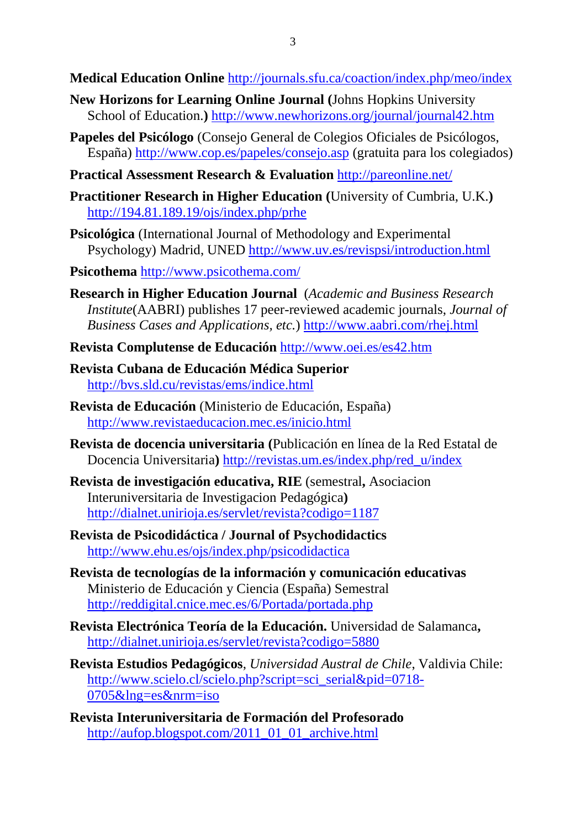- **Medical Education Online** <http://journals.sfu.ca/coaction/index.php/meo/index>
- **New Horizons for Learning Online Journal (**Johns Hopkins University School of Education.) <http://www.newhorizons.org/journal/journal42.htm>
- **Papeles del Psicólogo** (Consejo General de Colegios Oficiales de Psicólogos, España)<http://www.cop.es/papeles/consejo.asp> (gratuita para los colegiados)
- **Practical Assessment Research & Evaluation** <http://pareonline.net/>
- **Practitioner Research in Higher Education (**University of Cumbria, U.K.**)** <http://194.81.189.19/ojs/index.php/prhe>
- **Psicológica** (International Journal of Methodology and Experimental Psychology) Madrid, UNED<http://www.uv.es/revispsi/introduction.html>
- **Psicothema** <http://www.psicothema.com/>
- **Research in Higher Education Journal** (*Academic and Business Research Institute*(AABRI) publishes 17 peer-reviewed academic journals, *Journal of Business Cases and Applications, etc.*)<http://www.aabri.com/rhej.html>
- **Revista Complutense de Educación** <http://www.oei.es/es42.htm>
- **Revista Cubana de Educación Médica Superior** <http://bvs.sld.cu/revistas/ems/indice.html>
- **Revista de Educación** (Ministerio de Educación, España) <http://www.revistaeducacion.mec.es/inicio.html>
- **Revista de docencia universitaria (**Publicación en línea de la Red Estatal de Docencia Universitaria**)** [http://revistas.um.es/index.php/red\\_u/index](http://revistas.um.es/index.php/red_u/index)
- **Revista de investigación educativa, RIE** (semestral**,** Asociacion Interuniversitaria de Investigacion Pedagógica**)** <http://dialnet.unirioja.es/servlet/revista?codigo=1187>
- **Revista de Psicodidáctica / Journal of Psychodidactics**  <http://www.ehu.es/ojs/index.php/psicodidactica>
- **Revista de tecnologías de la información y comunicación educativas** Ministerio de Educación y Ciencia (España) Semestral <http://reddigital.cnice.mec.es/6/Portada/portada.php>
- **Revista Electrónica Teoría de la Educación.** Universidad de Salamanca**,**  <http://dialnet.unirioja.es/servlet/revista?codigo=5880>
- **Revista Estudios Pedagógicos**, *Universidad Austral de Chile*, Valdivia Chile: [http://www.scielo.cl/scielo.php?script=sci\\_serial&pid=0718-](http://www.scielo.cl/scielo.php?script=sci_serial&pid=0718-0705&lng=es&nrm=iso) [0705&lng=es&nrm=iso](http://www.scielo.cl/scielo.php?script=sci_serial&pid=0718-0705&lng=es&nrm=iso)
- **Revista Interuniversitaria de Formación del Profesorado** [http://aufop.blogspot.com/2011\\_01\\_01\\_archive.html](http://aufop.blogspot.com/2011_01_01_archive.html)